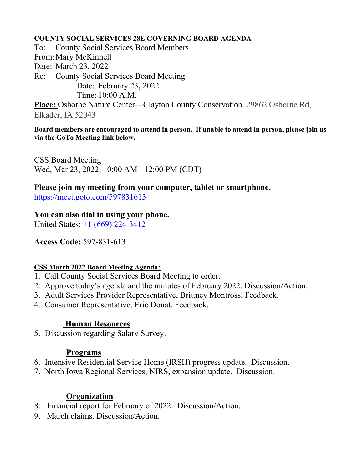### **COUNTY SOCIAL SERVICES 28E GOVERNING BOARD AGENDA**

To: County Social Services Board Members From:Mary McKinnell Date: March 23, 2022 Re: County Social Services Board Meeting Date: February 23, 2022 Time: 10:00 A.M. **Place:** Osborne Nature Center—Clayton County Conservation. 29862 Osborne Rd, Elkader, IA 52043

**Board members are encouraged to attend in person. If unable to attend in person, please join us via the GoTo Meeting link below.**

CSS Board Meeting Wed, Mar 23, 2022, 10:00 AM - 12:00 PM (CDT)

**Please join my meeting from your computer, tablet or smartphone.**  <https://meet.goto.com/597831613>

**You can also dial in using your phone.**

United States: [+1 \(669\) 224-3412](tel:+16692243412,,597831613)

**Access Code:** 597-831-613

## **CSS March 2022 Board Meeting Agenda:**

- 1. Call County Social Services Board Meeting to order.
- 2. Approve today's agenda and the minutes of February 2022. Discussion/Action.
- 3. Adult Services Provider Representative, Brittney Montross. Feedback.
- 4. Consumer Representative, Eric Donat. Feedback.

## **Human Resources**

5. Discussion regarding Salary Survey.

## **Programs**

- 6. Intensive Residential Service Home (IRSH) progress update. Discussion.
- 7. North Iowa Regional Services, NIRS, expansion update. Discussion.

# **Organization**

- 8. Financial report for February of 2022. Discussion/Action.
- 9. March claims. Discussion/Action.